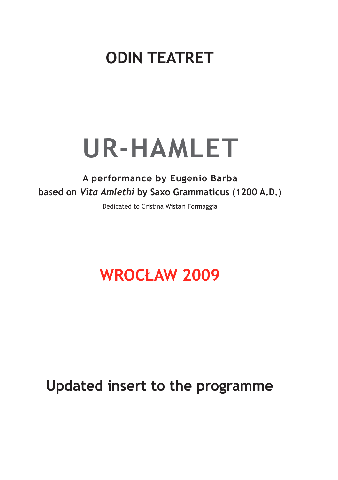# **ODIN TEATRET**

# **UR-HAMLET**

#### **A performance by Eugenio Barba based on** *Vita Amlethi* **by Saxo Grammaticus (1200 A.D.)**

Dedicated to Cristina Wistari Formaggia

### **WROCŁAW 2009**

### **Updated insert to the programme**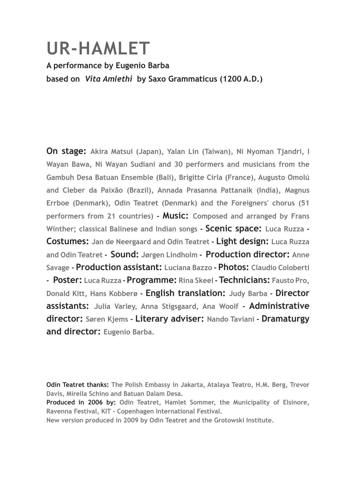# **UR-HAMLET**

#### **A performance by Eugenio Barba based on** *Vita Amlethi* **by Saxo Grammaticus (1200 A.D.)**

**On stage: Akira Matsui (Japan), Yalan Lin (Taiwan), Ni Nyoman Tjandri, I Wayan Bawa, Ni Wayan Sudiani and 30 performers and musicians from the Gambuh Desa Batuan Ensemble (Bali), Brigitte Cirla (France), Augusto Omolú and Cleber da Paixão (Brazil), Annada Prasanna Pattanaik (India), Magnus Errboe (Denmark), Odin Teatret (Denmark) and the Foreigners' chorus (51 performers from 21 countries) - Music: Composed and arranged by Frans Winther; classical Balinese and Indian songs - Scenic space: Luca Ruzza - Costumes: Jan de Neergaard and Odin Teatret - Light design: Luca Ruzza and Odin Teatret - Sound: Jørgen Lindholm - Production director: Anne Savage - Production assistant: Luciana Bazzo - Photos: Claudio Coloberti - Poster: Luca Ruzza - Programme: Rina Skeel -Technicians: Fausto Pro, Donald Kitt, Hans Kobberø - English translation: Judy Barba - Director assistants: Julia Varley, Anna Stigsgaard, Ana Woolf - Administrative director: Søren Kjems - Literary adviser: Nando Taviani - Dramaturgy and director: Eugenio Barba.**

**Odin Teatret thanks: The Polish Embassy in Jakarta, Atalaya Teatro, H.M. Berg, Trevor Davis, Mirella Schino and Batuan Dalam Desa.**

**Produced in 2006 by: Odin Teatret, Hamlet Sommer, the Municipality of Elsinore, Ravenna Festival, KIT - Copenhagen International Festival.** 

**New version produced in 2009 by Odin Teatret and the Grotowski Institute.**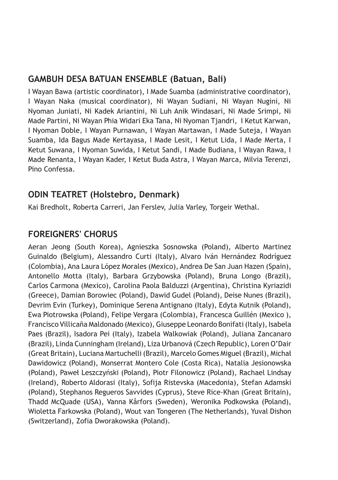#### **GAMBUH DESA BATUAN ENSEMBLE (Batuan, Bali)**

I Wayan Bawa (artistic coordinator), I Made Suamba (administrative coordinator), I Wayan Naka (musical coordinator), Ni Wayan Sudiani, Ni Wayan Nugini, Ni Nyoman Juniati, Ni Kadek Ariantini, Ni Luh Anik Windasari, Ni Made Srimpi, Ni Made Partini, Ni Wayan Phia Widari Eka Tana, Ni Nyoman Tjandri, I Ketut Karwan, I Nyoman Doble, I Wayan Purnawan, I Wayan Martawan, I Made Suteja, I Wayan Suamba, Ida Bagus Made Kertayasa, I Made Lesit, I Ketut Lida, I Made Merta, I Ketut Suwana, I Nyoman Suwida, I Ketut Sandi, I Made Budiana, I Wayan Rawa, I Made Renanta, I Wayan Kader, I Ketut Buda Astra, I Wayan Marca, Milvia Terenzi, Pino Confessa.

#### **ODIN TEATRET (Holstebro, Denmark)**

Kai Bredholt, Roberta Carreri, Jan Ferslev, Julia Varley, Torgeir Wethal.

#### **FOREIGNERS' CHORUS**

Aeran Jeong (South Korea), Agnieszka Sosnowska (Poland), Alberto Martinez Guinaldo (Belgium), Alessandro Curti (Italy), Alvaro Iván Hernández Rodríguez (Colombia), Ana Laura López Morales (Mexico), Andrea De San Juan Hazen (Spain), Antonello Motta (Italy), Barbara Grzybowska (Poland), Bruna Longo (Brazil), Carlos Carmona (Mexico), Carolina Paola Balduzzi (Argentina), Christina Kyriazidi (Greece), Damian Borowiec (Poland), Dawid Gudel (Poland), Deise Nunes (Brazil), Devrim Evin (Turkey), Dominique Serena Antignano (Italy), Edyta Kutnik (Poland), Ewa Piotrowska (Poland), Felipe Vergara (Colombia), Francesca Guillén (Mexico ), Francisco Villicaña Maldonado (Mexico), Giuseppe Leonardo Bonifati (Italy), Isabela Paes (Brazil), Isadora Pei (Italy), Izabela Walkowiak (Poland), Juliana Zancanaro (Brazil), Linda Cunningham (Ireland), Liza Urbanová (Czech Republic), Loren O'Dair (Great Britain), Luciana Martuchelli (Brazil), Marcelo Gomes Miguel (Brazil), Michał Dawidowicz (Poland), Monserrat Montero Cole (Costa Rica), Natalia Jesionowska (Poland), Paweł Leszczyński (Poland), Piotr Filonowicz (Poland), Rachael Lindsay (Ireland), Roberto Aldorasi (Italy), Sofija Ristevska (Macedonia), Stefan Adamski (Poland), Stephanos Regueros Savvides (Cyprus), Steve Rice-Khan (Great Britain), Thadd McQuade (USA), Vanna Kårfors (Sweden), Weronika Podkowska (Poland), Wioletta Farkowska (Poland), Wout van Tongeren (The Netherlands), Yuval Dishon (Switzerland), Zofia Dworakowska (Poland).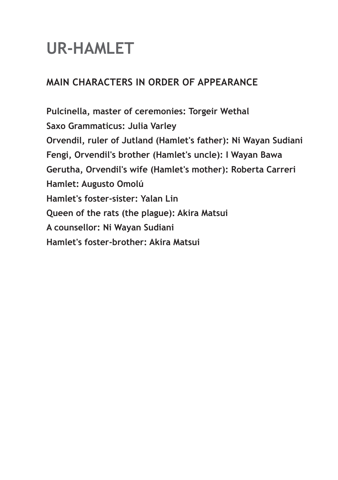# **UR-HAMLET**

#### **MAIN CHARACTERS IN ORDER OF APPEARANCE**

**Pulcinella, master of ceremonies: Torgeir Wethal Saxo Grammaticus: Julia Varley Orvendil, ruler of Jutland (Hamlet's father): Ni Wayan Sudiani Fengi, Orvendil's brother (Hamlet's uncle): I Wayan Bawa Gerutha, Orvendil's wife (Hamlet's mother): Roberta Carreri Hamlet: Augusto Omolú Hamlet's foster-sister: Yalan Lin Queen of the rats (the plague): Akira Matsui A counsellor: Ni Wayan Sudiani Hamlet's foster-brother: Akira Matsui**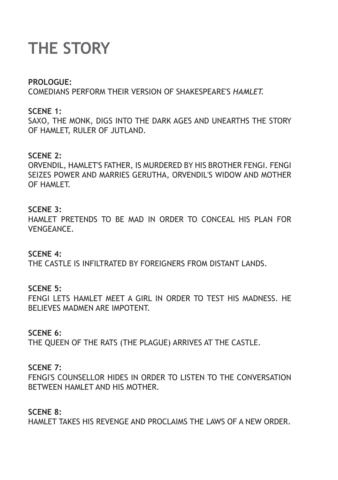# **THE STORY**

#### **PROLOGUE:**

COMEDIANS PERFORM THEIR VERSION OF SHAKESPEARE'S *HAMLET.* 

#### **SCENE 1:**

SAXO, THE MONK, DIGS INTO THE DARK AGES AND UNEARTHS THE STORY OF HAMLET, RULER OF JUTLAND.

#### **SCENE 2:**

ORVENDIL, HAMLET'S FATHER, IS MURDERED BY HIS BROTHER FENGI. FENGI SEIZES POWER AND MARRIES GERUTHA, ORVENDIL'S WIDOW AND MOTHER **OF HAMLET** 

#### **SCENE 3:**

HAMLET PRETENDS TO BE MAD IN ORDER TO CONCEAL HIS PLAN FOR **VENGEANCE** 

#### **SCENE 4:**

THE CASTLE IS INFILTRATED BY FOREIGNERS FROM DISTANT LANDS.

#### **SCENE 5:**

FENGI LETS HAMLET MEET A GIRL IN ORDER TO TEST HIS MADNESS. HE BELIEVES MADMEN ARE IMPOTENT.

#### **SCENE 6:**

THE QUEEN OF THE RATS (THE PLAGUE) ARRIVES AT THE CASTLE.

#### **SCENE 7:**

FENGI'S COUNSELLOR HIDES IN ORDER TO LISTEN TO THE CONVERSATION BETWEEN HAMLET AND HIS MOTHER.

#### **SCENE 8:**

HAMLET TAKES HIS REVENGE AND PROCLAIMS THE LAWS OF A NEW ORDER.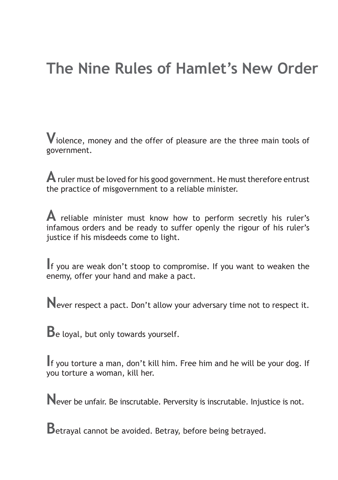### **The Nine Rules of Hamlet's New Order**

**V**iolence, money and the offer of pleasure are the three main tools of government.

**A** ruler must be loved for his good government. He must therefore entrust the practice of misgovernment to a reliable minister.

**A** reliable minister must know how to perform secretly his ruler's infamous orders and be ready to suffer openly the rigour of his ruler's justice if his misdeeds come to light.

**I**f you are weak don't stoop to compromise. If you want to weaken the enemy, offer your hand and make a pact.

**N**ever respect a pact. Don't allow your adversary time not to respect it.

**B**e loyal, but only towards yourself.

**I**f you torture a man, don't kill him. Free him and he will be your dog. If you torture a woman, kill her.

**N**ever be unfair. Be inscrutable. Perversity is inscrutable. Injustice is not.

**B**etraval cannot be avoided. Betray, before being betrayed.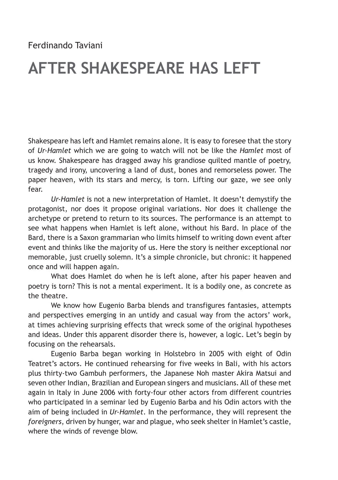### **AFTER SHAKESPEARE HAS LEFT**

Shakespeare has left and Hamlet remains alone. It is easy to foresee that the story of *Ur-Hamlet* which we are going to watch will not be like the *Hamlet* most of us know. Shakespeare has dragged away his grandiose quilted mantle of poetry, tragedy and irony, uncovering a land of dust, bones and remorseless power. The paper heaven, with its stars and mercy, is torn. Lifting our gaze, we see only fear.

*Ur-Hamlet* is not a new interpretation of Hamlet. It doesn't demystify the protagonist, nor does it propose original variations. Nor does it challenge the archetype or pretend to return to its sources. The performance is an attempt to see what happens when Hamlet is left alone, without his Bard. In place of the Bard, there is a Saxon grammarian who limits himself to writing down event after event and thinks like the majority of us. Here the story is neither exceptional nor memorable, just cruelly solemn. It's a simple chronicle, but chronic: it happened once and will happen again.

What does Hamlet do when he is left alone, after his paper heaven and poetry is torn? This is not a mental experiment. It is a bodily one, as concrete as the theatre.

We know how Eugenio Barba blends and transfigures fantasies, attempts and perspectives emerging in an untidy and casual way from the actors' work, at times achieving surprising effects that wreck some of the original hypotheses and ideas. Under this apparent disorder there is, however, a logic. Let's begin by focusing on the rehearsals.

Eugenio Barba began working in Holstebro in 2005 with eight of Odin Teatret's actors. He continued rehearsing for five weeks in Bali, with his actors plus thirty-two Gambuh performers, the Japanese Noh master Akira Matsui and seven other Indian, Brazilian and European singers and musicians. All of these met again in Italy in June 2006 with forty-four other actors from different countries who participated in a seminar led by Eugenio Barba and his Odin actors with the aim of being included in *Ur-Hamlet*. In the performance, they will represent the *foreigners*, driven by hunger, war and plague, who seek shelter in Hamlet's castle, where the winds of revenge blow.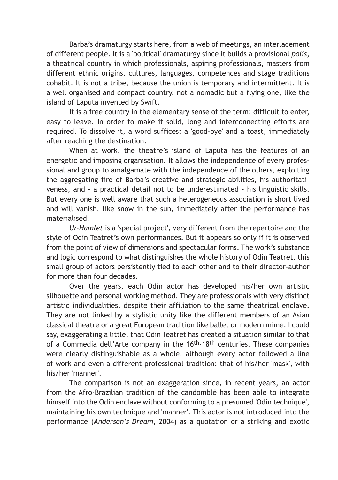Barba's dramaturgy starts here, from a web of meetings, an interlacement of different people. It is a 'political' dramaturgy since it builds a provisional *polis*, a theatrical country in which professionals, aspiring professionals, masters from different ethnic origins, cultures, languages, competences and stage traditions cohabit. It is not a tribe, because the union is temporary and intermittent. It is a well organised and compact country, not a nomadic but a flying one, like the island of Laputa invented by Swift.

It is a free country in the elementary sense of the term: difficult to enter, easy to leave. In order to make it solid, long and interconnecting efforts are required. To dissolve it, a word suffices: a 'good-bye' and a toast, immediately after reaching the destination.

When at work, the theatre's island of Laputa has the features of an energetic and imposing organisation. It allows the independence of every professional and group to amalgamate with the independence of the others, exploiting the aggregating fire of Barba's creative and strategic abilities, his authoritativeness, and - a practical detail not to be underestimated - his linguistic skills. But every one is well aware that such a heterogeneous association is short lived and will vanish, like snow in the sun, immediately after the performance has materialised.

*Ur-Hamlet* is a 'special project', very different from the repertoire and the style of Odin Teatret's own performances. But it appears so only if it is observed from the point of view of dimensions and spectacular forms. The work's substance and logic correspond to what distinguishes the whole history of Odin Teatret, this small group of actors persistently tied to each other and to their director-author for more than four decades.

Over the years, each Odin actor has developed his/her own artistic silhouette and personal working method. They are professionals with very distinct artistic individualities, despite their affiliation to the same theatrical enclave. They are not linked by a stylistic unity like the different members of an Asian classical theatre or a great European tradition like ballet or modern mime. I could say, exaggerating a little, that Odin Teatret has created a situation similar to that of a Commedia dell'Arte company in the 16th-18th centuries. These companies were clearly distinguishable as a whole, although every actor followed a line of work and even a different professional tradition: that of his/her 'mask', with his/her 'manner'.

The comparison is not an exaggeration since, in recent years, an actor from the Afro-Brazilian tradition of the candomblé has been able to integrate himself into the Odin enclave without conforming to a presumed 'Odin technique', maintaining his own technique and 'manner'. This actor is not introduced into the performance (*Andersen's Dream*, 2004) as a quotation or a striking and exotic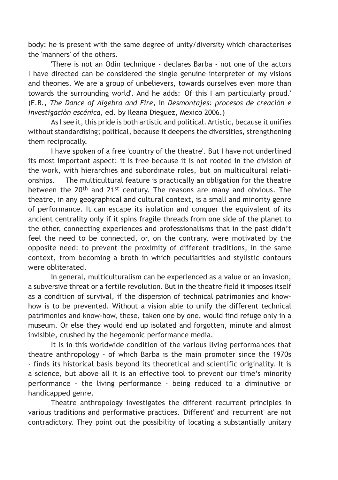body: he is present with the same degree of unity/diversity which characterises the 'manners' of the others.

'There is not an Odin technique - declares Barba - not one of the actors I have directed can be considered the single genuine interpreter of my visions and theories. We are a group of unbelievers, towards ourselves even more than towards the surrounding world'. And he adds: 'Of this I am particularly proud.' (E.B., *The Dance of Algebra and Fire*, in *Desmontajes: procesos de creación e investigación escénica*, ed. by Ileana Dieguez, Mexico 2006.)

As I see it, this pride is both artistic and political. Artistic, because it unifies without standardising; political, because it deepens the diversities, strengthening them reciprocally.

I have spoken of a free 'country of the theatre'. But I have not underlined its most important aspect: it is free because it is not rooted in the division of the work, with hierarchies and subordinate roles, but on multicultural relationships. The multicultural feature is practically an obligation for the theatre between the 20th and 21st century. The reasons are many and obvious. The theatre, in any geographical and cultural context, is a small and minority genre of performance. It can escape its isolation and conquer the equivalent of its ancient centrality only if it spins fragile threads from one side of the planet to the other, connecting experiences and professionalisms that in the past didn't feel the need to be connected, or, on the contrary, were motivated by the opposite need: to prevent the proximity of different traditions, in the same context, from becoming a broth in which peculiarities and stylistic contours were obliterated.

In general, multiculturalism can be experienced as a value or an invasion, a subversive threat or a fertile revolution. But in the theatre field it imposes itself as a condition of survival, if the dispersion of technical patrimonies and knowhow is to be prevented. Without a vision able to unify the different technical patrimonies and know-how, these, taken one by one, would find refuge only in a museum. Or else they would end up isolated and forgotten, minute and almost invisible, crushed by the hegemonic performance media.

It is in this worldwide condition of the various living performances that theatre anthropology - of which Barba is the main promoter since the 1970s - finds its historical basis beyond its theoretical and scientific originality. It is a science, but above all it is an effective tool to prevent our time's minority performance - the living performance - being reduced to a diminutive or handicapped genre.

Theatre anthropology investigates the different recurrent principles in various traditions and performative practices. 'Different' and 'recurrent' are not contradictory. They point out the possibility of locating a substantially unitary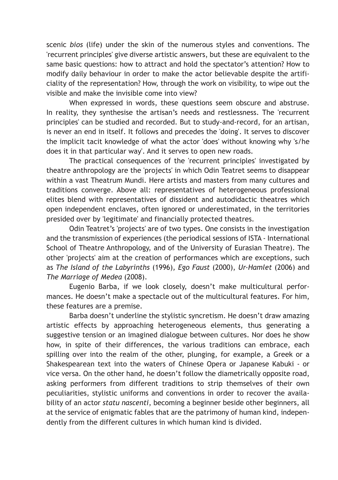scenic *bios* (life) under the skin of the numerous styles and conventions. The 'recurrent principles' give diverse artistic answers, but these are equivalent to the same basic questions: how to attract and hold the spectator's attention? How to modify daily behaviour in order to make the actor believable despite the artificiality of the representation? How, through the work on visibility, to wipe out the visible and make the invisible come into view?

When expressed in words, these questions seem obscure and abstruse. In reality, they synthesise the artisan's needs and restlessness. The 'recurrent principles' can be studied and recorded. But to study-and-record, for an artisan, is never an end in itself. It follows and precedes the 'doing'. It serves to discover the implicit tacit knowledge of what the actor 'does' without knowing why 's/he does it in that particular way'. And it serves to open new roads.

The practical consequences of the 'recurrent principles' investigated by theatre anthropology are the 'projects' in which Odin Teatret seems to disappear within a vast Theatrum Mundi. Here artists and masters from many cultures and traditions converge. Above all: representatives of heterogeneous professional elites blend with representatives of dissident and autodidactic theatres which open independent enclaves, often ignored or underestimated, in the territories presided over by 'legitimate' and financially protected theatres.

Odin Teatret's 'projects' are of two types. One consists in the investigation and the transmission of experiences (the periodical sessions of ISTA - International School of Theatre Anthropology, and of the University of Eurasian Theatre). The other 'projects' aim at the creation of performances which are exceptions, such as *The Island of the Labyrinths* (1996)*, Ego Faust* (2000), *Ur-Hamlet* (2006) and *The Marriage of Medea* (2008).

Eugenio Barba, if we look closely, doesn't make multicultural performances. He doesn't make a spectacle out of the multicultural features. For him, these features are a premise.

Barba doesn't underline the stylistic syncretism. He doesn't draw amazing artistic effects by approaching heterogeneous elements, thus generating a suggestive tension or an imagined dialogue between cultures. Nor does he show how, in spite of their differences, the various traditions can embrace, each spilling over into the realm of the other, plunging, for example, a Greek or a Shakespearean text into the waters of Chinese Opera or Japanese Kabuki - or vice versa. On the other hand, he doesn't follow the diametrically opposite road, asking performers from different traditions to strip themselves of their own peculiarities, stylistic uniforms and conventions in order to recover the availability of an actor *statu nascenti*, becoming a beginner beside other beginners, all at the service of enigmatic fables that are the patrimony of human kind, independently from the different cultures in which human kind is divided.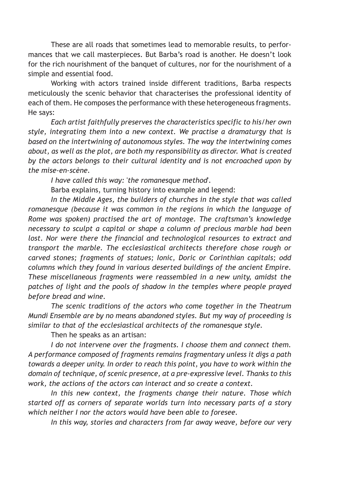These are all roads that sometimes lead to memorable results, to performances that we call masterpieces. But Barba's road is another. He doesn't look for the rich nourishment of the banquet of cultures, nor for the nourishment of a simple and essential food.

Working with actors trained inside different traditions, Barba respects meticulously the scenic behavior that characterises the professional identity of each of them. He composes the performance with these heterogeneous fragments. He says:

*Each artist faithfully preserves the characteristics specific to his/her own style, integrating them into a new context. We practise a dramaturgy that is based on the intertwining of autonomous styles. The way the intertwining comes about, as well as the plot, are both my responsibility as director. What is created by the actors belongs to their cultural identity and is not encroached upon by the mise-en-scène.*

*I have called this way:* '*the romanesque method*'*.*

Barba explains, turning history into example and legend:

*In the Middle Ages, the builders of churches in the style that was called romanesque (because it was common in the regions in which the language of Rome was spoken) practised the art of montage. The craftsman's knowledge necessary to sculpt a capital or shape a column of precious marble had been*  lost. Nor were there the financial and technological resources to extract and *transport the marble. The ecclesiastical architects therefore chose rough or carved stones; fragments of statues; Ionic, Doric or Corinthian capitals; odd columns which they found in various deserted buildings of the ancient Empire. These miscellaneous fragments were reassembled in a new unity, amidst the patches of light and the pools of shadow in the temples where people prayed before bread and wine.*

*The scenic traditions of the actors who come together in the Theatrum Mundi Ensemble are by no means abandoned styles. But my way of proceeding is similar to that of the ecclesiastical architects of the romanesque style.* 

Then he speaks as an artisan:

*I do not intervene over the fragments. I choose them and connect them. A performance composed of fragments remains fragmentary unless it digs a path towards a deeper unity. In order to reach this point, you have to work within the domain of technique, of scenic presence, at a pre-expressive level. Thanks to this work, the actions of the actors can interact and so create a context.*

*In this new context, the fragments change their nature. Those which started off as corners of separate worlds turn into necessary parts of a story which neither I nor the actors would have been able to foresee.*

*In this way, stories and characters from far away weave, before our very*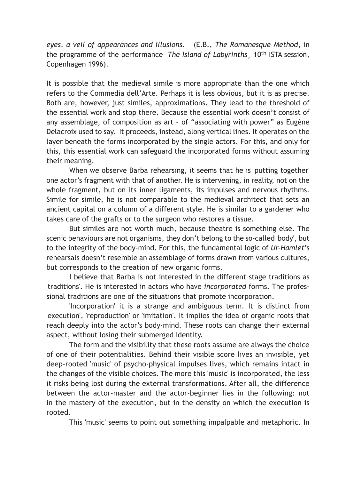*eyes, a veil of appearances and illusions.* (E.B., *The Romanesque Method*, in the programme of the performance *The Island of Labyrinths*¸ 10th ISTA session, Copenhagen 1996).

It is possible that the medieval simile is more appropriate than the one which refers to the Commedia dell'Arte. Perhaps it is less obvious, but it is as precise. Both are, however, just similes, approximations. They lead to the threshold of the essential work and stop there. Because the essential work doesn't consist of any assemblage, of composition as art – of "associating with power" as Eugène Delacroix used to say. It proceeds, instead, along vertical lines. It operates on the layer beneath the forms incorporated by the single actors. For this, and only for this, this essential work can safeguard the incorporated forms without assuming their meaning.

When we observe Barba rehearsing, it seems that he is 'putting together' one actor's fragment with that of another. He is intervening, in reality, not on the whole fragment, but on its inner ligaments, its impulses and nervous rhythms. Simile for simile, he is not comparable to the medieval architect that sets an ancient capital on a column of a different style. He is similar to a gardener who takes care of the grafts or to the surgeon who restores a tissue.

But similes are not worth much, because theatre is something else. The scenic behaviours are not organisms, they don't belong to the so-called 'body', but to the integrity of the body-mind. For this, the fundamental logic of *Ur-Hamlet*'s rehearsals doesn't resemble an assemblage of forms drawn from various cultures, but corresponds to the creation of new organic forms.

I believe that Barba is not interested in the different stage traditions as 'traditions'. He is interested in actors who have *incorporated* forms. The professional traditions are one of the situations that promote incorporation.

'Incorporation' it is a strange and ambiguous term. It is distinct from 'execution', 'reproduction' or 'imitation'. It implies the idea of organic roots that reach deeply into the actor's body-mind. These roots can change their external aspect, without losing their submerged identity.

The form and the visibility that these roots assume are always the choice of one of their potentialities. Behind their visible score lives an invisible, yet deep-rooted 'music' of psycho-physical impulses lives, which remains intact in the changes of the visible choices. The more this 'music' is incorporated, the less it risks being lost during the external transformations. After all, the difference between the actor-master and the actor-beginner lies in the following: not in the mastery of the execution, but in the density on which the execution is rooted.

This 'music' seems to point out something impalpable and metaphoric. In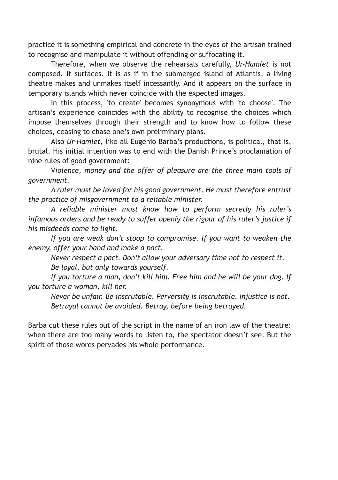practice it is something empirical and concrete in the eyes of the artisan trained to recognise and manipulate it without offending or suffocating it.

Therefore, when we observe the rehearsals carefully, *Ur-Hamlet* is not composed. It surfaces. It is as if in the submerged island of Atlantis, a living theatre makes and unmakes itself incessantly. And it appears on the surface in temporary islands which never coincide with the expected images.

In this process, 'to create' becomes synonymous with 'to choose'. The artisan's experience coincides with the ability to recognise the choices which impose themselves through their strength and to know how to follow these choices, ceasing to chase one's own preliminary plans.

Also *Ur-Hamlet*, like all Eugenio Barba's productions, is political, that is, brutal. His initial intention was to end with the Danish Prince's proclamation of nine rules of good government:

V*iolence, money and the offer of pleasure are the three main tools of government.* 

*A ruler must be loved for his good government. He must therefore entrust the practice of misgovernment to a reliable minister.* 

*A reliable minister must know how to perform secretly his ruler's infamous orders and be ready to suffer openly the rigour of his ruler's justice if his misdeeds come to light.* 

*If you are weak don't stoop to compromise. If you want to weaken the enemy, offer your hand and make a pact.* 

*Never respect a pact. Don't allow your adversary time not to respect it. Be loyal, but only towards yourself.* 

*If you torture a man, don't kill him. Free him and he will be your dog. If you torture a woman, kill her.* 

*Never be unfair. Be inscrutable. Perversity is inscrutable. Injustice is not. Betrayal cannot be avoided. Betray, before being betrayed.* 

Barba cut these rules out of the script in the name of an iron law of the theatre: when there are too many words to listen to, the spectator doesn't see. But the spirit of those words pervades his whole performance.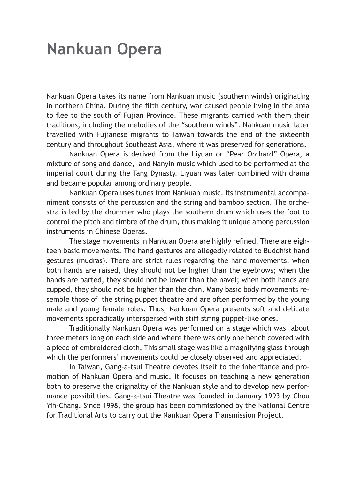### **Nankuan Opera**

Nankuan Opera takes its name from Nankuan music (southern winds) originating in northern China. During the fifth century, war caused people living in the area to flee to the south of Fujian Province. These migrants carried with them their traditions, including the melodies of the "southern winds". Nankuan music later travelled with Fujianese migrants to Taiwan towards the end of the sixteenth century and throughout Southeast Asia, where it was preserved for generations.

Nankuan Opera is derived from the Liyuan or "Pear Orchard" Opera, a mixture of song and dance, and Nanyin music which used to be performed at the imperial court during the Tang Dynasty. Liyuan was later combined with drama and became popular among ordinary people.

Nankuan Opera uses tunes from Nankuan music. Its instrumental accompaniment consists of the percussion and the string and bamboo section. The orchestra is led by the drummer who plays the southern drum which uses the foot to control the pitch and timbre of the drum, thus making it unique among percussion instruments in Chinese Operas.

The stage movements in Nankuan Opera are highly refined. There are eighteen basic movements. The hand gestures are allegedly related to Buddhist hand gestures (mudras). There are strict rules regarding the hand movements: when both hands are raised, they should not be higher than the eyebrows; when the hands are parted, they should not be lower than the navel; when both hands are cupped, they should not be higher than the chin. Many basic body movements resemble those of the string puppet theatre and are often performed by the young male and young female roles. Thus, Nankuan Opera presents soft and delicate movements sporadically interspersed with stiff string puppet-like ones.

Traditionally Nankuan Opera was performed on a stage which was about three meters long on each side and where there was only one bench covered with a piece of embroidered cloth. This small stage was like a magnifying glass through which the performers' movements could be closely observed and appreciated.

In Taiwan, Gang-a-tsui Theatre devotes itself to the inheritance and promotion of Nankuan Opera and music. It focuses on teaching a new generation both to preserve the originality of the Nankuan style and to develop new performance possibilities. Gang-a-tsui Theatre was founded in January 1993 by Chou Yih-Chang. Since 1998, the group has been commissioned by the National Centre for Traditional Arts to carry out the Nankuan Opera Transmission Project.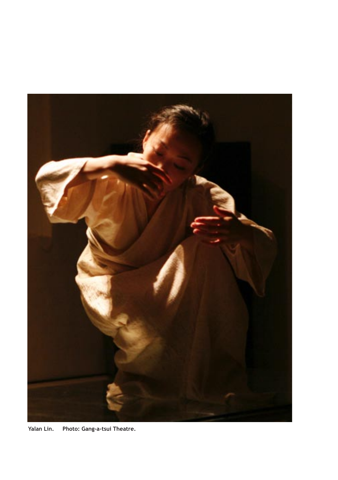

**Yalan Lin. Photo: Gang-a-tsui Theatre.**